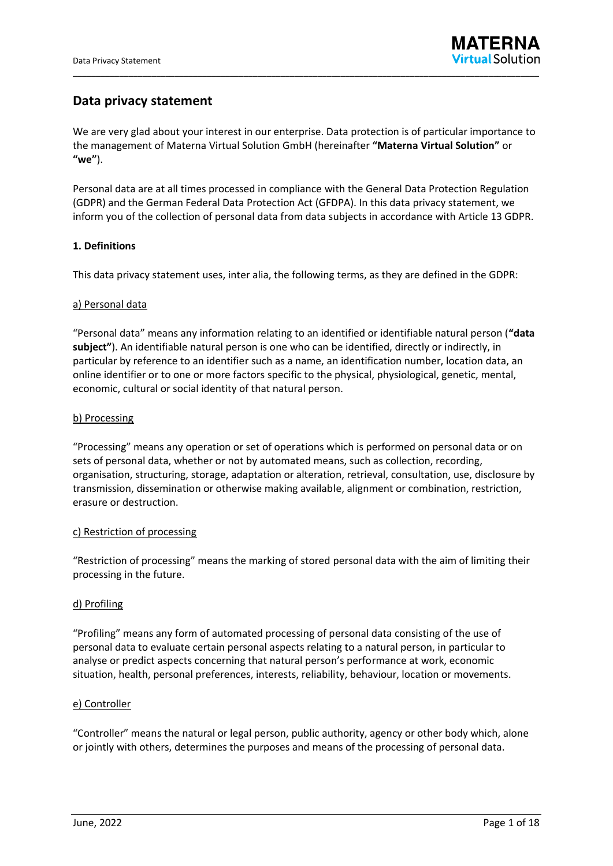# **Data privacy statement**

We are very glad about your interest in our enterprise. Data protection is of particular importance to the management of Materna Virtual Solution GmbH (hereinafter **"Materna Virtual Solution"** or **"we"**).

\_\_\_\_\_\_\_\_\_\_\_\_\_\_\_\_\_\_\_\_\_\_\_\_\_\_\_\_\_\_\_\_\_\_\_\_\_\_\_\_\_\_\_\_\_\_\_\_\_\_\_\_\_\_\_\_\_\_\_\_\_\_\_\_\_\_\_\_\_\_\_\_\_\_\_\_\_\_\_\_\_\_\_\_\_\_\_\_\_\_\_\_\_\_\_\_\_\_\_\_\_

Personal data are at all times processed in compliance with the General Data Protection Regulation (GDPR) and the German Federal Data Protection Act (GFDPA). In this data privacy statement, we inform you of the collection of personal data from data subjects in accordance with Article 13 GDPR.

# **1. Definitions**

This data privacy statement uses, inter alia, the following terms, as they are defined in the GDPR:

### a) Personal data

"Personal data" means any information relating to an identified or identifiable natural person (**"data subject"**). An identifiable natural person is one who can be identified, directly or indirectly, in particular by reference to an identifier such as a name, an identification number, location data, an online identifier or to one or more factors specific to the physical, physiological, genetic, mental, economic, cultural or social identity of that natural person.

### b) Processing

"Processing" means any operation or set of operations which is performed on personal data or on sets of personal data, whether or not by automated means, such as collection, recording, organisation, structuring, storage, adaptation or alteration, retrieval, consultation, use, disclosure by transmission, dissemination or otherwise making available, alignment or combination, restriction, erasure or destruction.

#### c) Restriction of processing

"Restriction of processing" means the marking of stored personal data with the aim of limiting their processing in the future.

# d) Profiling

"Profiling" means any form of automated processing of personal data consisting of the use of personal data to evaluate certain personal aspects relating to a natural person, in particular to analyse or predict aspects concerning that natural person's performance at work, economic situation, health, personal preferences, interests, reliability, behaviour, location or movements.

#### e) Controller

"Controller" means the natural or legal person, public authority, agency or other body which, alone or jointly with others, determines the purposes and means of the processing of personal data.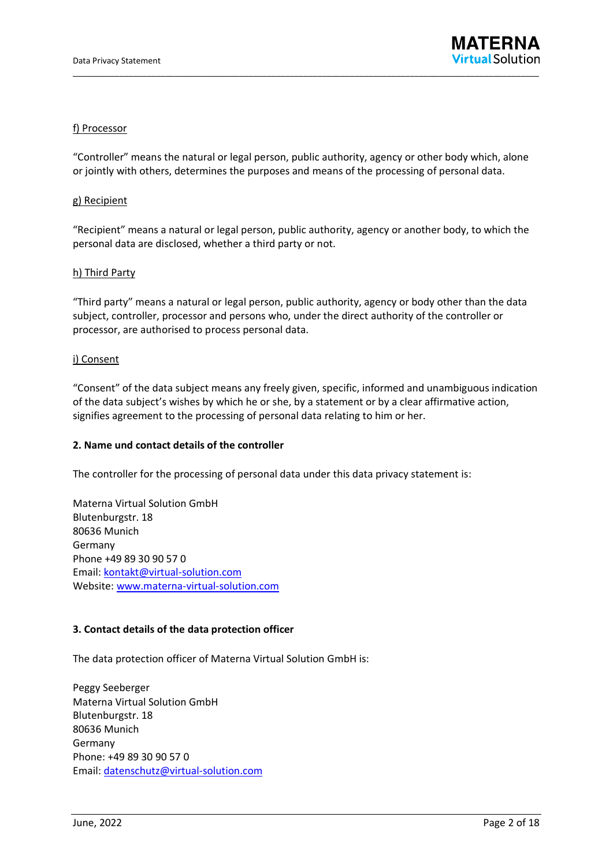

### f) Processor

"Controller" means the natural or legal person, public authority, agency or other body which, alone or jointly with others, determines the purposes and means of the processing of personal data.

#### g) Recipient

"Recipient" means a natural or legal person, public authority, agency or another body, to which the personal data are disclosed, whether a third party or not.

#### h) Third Party

"Third party" means a natural or legal person, public authority, agency or body other than the data subject, controller, processor and persons who, under the direct authority of the controller or processor, are authorised to process personal data.

#### i) Consent

"Consent" of the data subject means any freely given, specific, informed and unambiguous indication of the data subject's wishes by which he or she, by a statement or by a clear affirmative action, signifies agreement to the processing of personal data relating to him or her.

#### **2. Name und contact details of the controller**

The controller for the processing of personal data under this data privacy statement is:

Materna Virtual Solution GmbH Blutenburgstr. 18 80636 Munich Germany Phone +49 89 30 90 57 0 Email: [kontakt@virtual-solution.com](mailto:kontakt@virtual-solution.com) Website: [www.materna-virtual-solution.com](http://www.materna-virtual-solution.com/)

#### **3. Contact details of the data protection officer**

The data protection officer of Materna Virtual Solution GmbH is:

Peggy Seeberger Materna Virtual Solution GmbH Blutenburgstr. 18 80636 Munich Germany Phone: +49 89 30 90 57 0 Email: [datenschutz@virtual-solution.com](mailto:datenschutz@virtual-solution.com)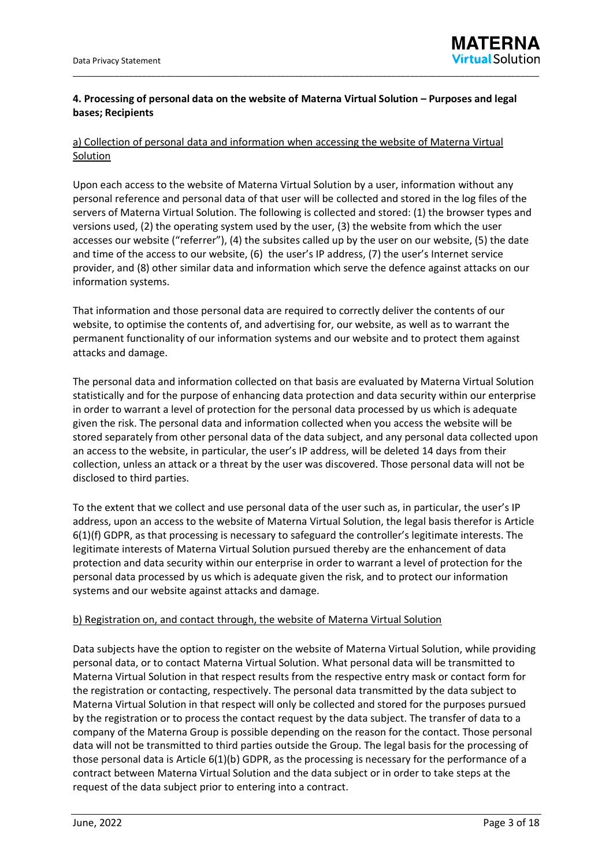# **4. Processing of personal data on the website of Materna Virtual Solution – Purposes and legal bases; Recipients**

\_\_\_\_\_\_\_\_\_\_\_\_\_\_\_\_\_\_\_\_\_\_\_\_\_\_\_\_\_\_\_\_\_\_\_\_\_\_\_\_\_\_\_\_\_\_\_\_\_\_\_\_\_\_\_\_\_\_\_\_\_\_\_\_\_\_\_\_\_\_\_\_\_\_\_\_\_\_\_\_\_\_\_\_\_\_\_\_\_\_\_\_\_\_\_\_\_\_\_\_\_

# a) Collection of personal data and information when accessing the website of Materna Virtual **Solution**

Upon each access to the website of Materna Virtual Solution by a user, information without any personal reference and personal data of that user will be collected and stored in the log files of the servers of Materna Virtual Solution. The following is collected and stored: (1) the browser types and versions used, (2) the operating system used by the user, (3) the website from which the user accesses our website ("referrer"), (4) the subsites called up by the user on our website, (5) the date and time of the access to our website, (6) the user's IP address, (7) the user's Internet service provider, and (8) other similar data and information which serve the defence against attacks on our information systems.

That information and those personal data are required to correctly deliver the contents of our website, to optimise the contents of, and advertising for, our website, as well as to warrant the permanent functionality of our information systems and our website and to protect them against attacks and damage.

The personal data and information collected on that basis are evaluated by Materna Virtual Solution statistically and for the purpose of enhancing data protection and data security within our enterprise in order to warrant a level of protection for the personal data processed by us which is adequate given the risk. The personal data and information collected when you access the website will be stored separately from other personal data of the data subject, and any personal data collected upon an access to the website, in particular, the user's IP address, will be deleted 14 days from their collection, unless an attack or a threat by the user was discovered. Those personal data will not be disclosed to third parties.

To the extent that we collect and use personal data of the user such as, in particular, the user's IP address, upon an access to the website of Materna Virtual Solution, the legal basis therefor is Article 6(1)(f) GDPR, as that processing is necessary to safeguard the controller's legitimate interests. The legitimate interests of Materna Virtual Solution pursued thereby are the enhancement of data protection and data security within our enterprise in order to warrant a level of protection for the personal data processed by us which is adequate given the risk, and to protect our information systems and our website against attacks and damage.

# b) Registration on, and contact through, the website of Materna Virtual Solution

Data subjects have the option to register on the website of Materna Virtual Solution, while providing personal data, or to contact Materna Virtual Solution. What personal data will be transmitted to Materna Virtual Solution in that respect results from the respective entry mask or contact form for the registration or contacting, respectively. The personal data transmitted by the data subject to Materna Virtual Solution in that respect will only be collected and stored for the purposes pursued by the registration or to process the contact request by the data subject. The transfer of data to a company of the Materna Group is possible depending on the reason for the contact. Those personal data will not be transmitted to third parties outside the Group. The legal basis for the processing of those personal data is Article 6(1)(b) GDPR, as the processing is necessary for the performance of a contract between Materna Virtual Solution and the data subject or in order to take steps at the request of the data subject prior to entering into a contract.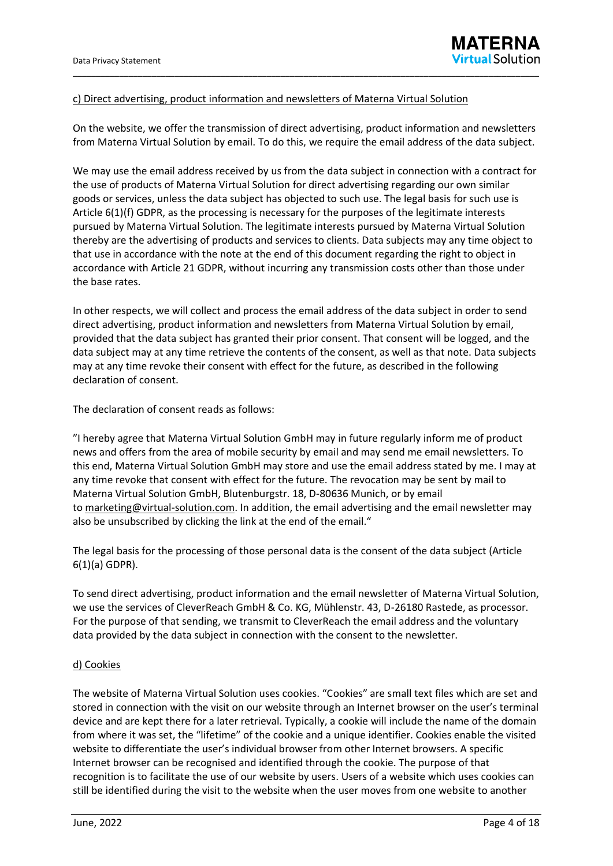### c) Direct advertising, product information and newsletters of Materna Virtual Solution

On the website, we offer the transmission of direct advertising, product information and newsletters from Materna Virtual Solution by email. To do this, we require the email address of the data subject.

\_\_\_\_\_\_\_\_\_\_\_\_\_\_\_\_\_\_\_\_\_\_\_\_\_\_\_\_\_\_\_\_\_\_\_\_\_\_\_\_\_\_\_\_\_\_\_\_\_\_\_\_\_\_\_\_\_\_\_\_\_\_\_\_\_\_\_\_\_\_\_\_\_\_\_\_\_\_\_\_\_\_\_\_\_\_\_\_\_\_\_\_\_\_\_\_\_\_\_\_\_

We may use the email address received by us from the data subject in connection with a contract for the use of products of Materna Virtual Solution for direct advertising regarding our own similar goods or services, unless the data subject has objected to such use. The legal basis for such use is Article 6(1)(f) GDPR, as the processing is necessary for the purposes of the legitimate interests pursued by Materna Virtual Solution. The legitimate interests pursued by Materna Virtual Solution thereby are the advertising of products and services to clients. Data subjects may any time object to that use in accordance with the note at the end of this document regarding the right to object in accordance with Article 21 GDPR, without incurring any transmission costs other than those under the base rates.

In other respects, we will collect and process the email address of the data subject in order to send direct advertising, product information and newsletters from Materna Virtual Solution by email, provided that the data subject has granted their prior consent. That consent will be logged, and the data subject may at any time retrieve the contents of the consent, as well as that note. Data subjects may at any time revoke their consent with effect for the future, as described in the following declaration of consent.

The declaration of consent reads as follows:

"I hereby agree that Materna Virtual Solution GmbH may in future regularly inform me of product news and offers from the area of mobile security by email and may send me email newsletters. To this end, Materna Virtual Solution GmbH may store and use the email address stated by me. I may at any time revoke that consent with effect for the future. The revocation may be sent by mail to Materna Virtual Solution GmbH, Blutenburgstr. 18, D-80636 Munich, or by email to [marketing@virtual-solution.com.](mailto:marketing@virtual-solution.com) In addition, the email advertising and the email newsletter may also be unsubscribed by clicking the link at the end of the email."

The legal basis for the processing of those personal data is the consent of the data subject (Article 6(1)(a) GDPR).

To send direct advertising, product information and the email newsletter of Materna Virtual Solution, we use the services of CleverReach GmbH & Co. KG, Mühlenstr. 43, D-26180 Rastede, as processor. For the purpose of that sending, we transmit to CleverReach the email address and the voluntary data provided by the data subject in connection with the consent to the newsletter.

#### d) Cookies

The website of Materna Virtual Solution uses cookies. "Cookies" are small text files which are set and stored in connection with the visit on our website through an Internet browser on the user's terminal device and are kept there for a later retrieval. Typically, a cookie will include the name of the domain from where it was set, the "lifetime" of the cookie and a unique identifier. Cookies enable the visited website to differentiate the user's individual browser from other Internet browsers. A specific Internet browser can be recognised and identified through the cookie. The purpose of that recognition is to facilitate the use of our website by users. Users of a website which uses cookies can still be identified during the visit to the website when the user moves from one website to another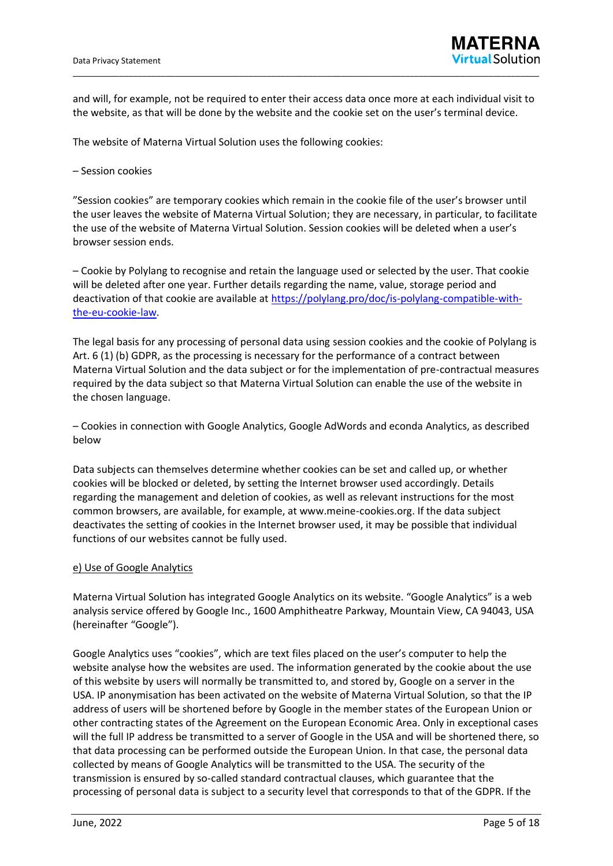and will, for example, not be required to enter their access data once more at each individual visit to the website, as that will be done by the website and the cookie set on the user's terminal device.

\_\_\_\_\_\_\_\_\_\_\_\_\_\_\_\_\_\_\_\_\_\_\_\_\_\_\_\_\_\_\_\_\_\_\_\_\_\_\_\_\_\_\_\_\_\_\_\_\_\_\_\_\_\_\_\_\_\_\_\_\_\_\_\_\_\_\_\_\_\_\_\_\_\_\_\_\_\_\_\_\_\_\_\_\_\_\_\_\_\_\_\_\_\_\_\_\_\_\_\_\_

The website of Materna Virtual Solution uses the following cookies:

### – Session cookies

"Session cookies" are temporary cookies which remain in the cookie file of the user's browser until the user leaves the website of Materna Virtual Solution; they are necessary, in particular, to facilitate the use of the website of Materna Virtual Solution. Session cookies will be deleted when a user's browser session ends.

– Cookie by Polylang to recognise and retain the language used or selected by the user. That cookie will be deleted after one year. Further details regarding the name, value, storage period and deactivation of that cookie are available at [https://polylang.pro/doc/is-polylang-compatible-with](https://polylang.pro/doc/is-polylang-compatible-with-the-eu-cookie-law)[the-eu-cookie-law.](https://polylang.pro/doc/is-polylang-compatible-with-the-eu-cookie-law)

The legal basis for any processing of personal data using session cookies and the cookie of Polylang is Art. 6 (1) (b) GDPR, as the processing is necessary for the performance of a contract between Materna Virtual Solution and the data subject or for the implementation of pre-contractual measures required by the data subject so that Materna Virtual Solution can enable the use of the website in the chosen language.

– Cookies in connection with Google Analytics, Google AdWords and econda Analytics, as described below

Data subjects can themselves determine whether cookies can be set and called up, or whether cookies will be blocked or deleted, by setting the Internet browser used accordingly. Details regarding the management and deletion of cookies, as well as relevant instructions for the most common browsers, are available, for example, at www.meine-cookies.org. If the data subject deactivates the setting of cookies in the Internet browser used, it may be possible that individual functions of our websites cannot be fully used.

#### e) Use of Google Analytics

Materna Virtual Solution has integrated Google Analytics on its website. "Google Analytics" is a web analysis service offered by Google Inc., 1600 Amphitheatre Parkway, Mountain View, CA 94043, USA (hereinafter "Google").

Google Analytics uses "cookies", which are text files placed on the user's computer to help the website analyse how the websites are used. The information generated by the cookie about the use of this website by users will normally be transmitted to, and stored by, Google on a server in the USA. IP anonymisation has been activated on the website of Materna Virtual Solution, so that the IP address of users will be shortened before by Google in the member states of the European Union or other contracting states of the Agreement on the European Economic Area. Only in exceptional cases will the full IP address be transmitted to a server of Google in the USA and will be shortened there, so that data processing can be performed outside the European Union. In that case, the personal data collected by means of Google Analytics will be transmitted to the USA. The security of the transmission is ensured by so-called standard contractual clauses, which guarantee that the processing of personal data is subject to a security level that corresponds to that of the GDPR. If the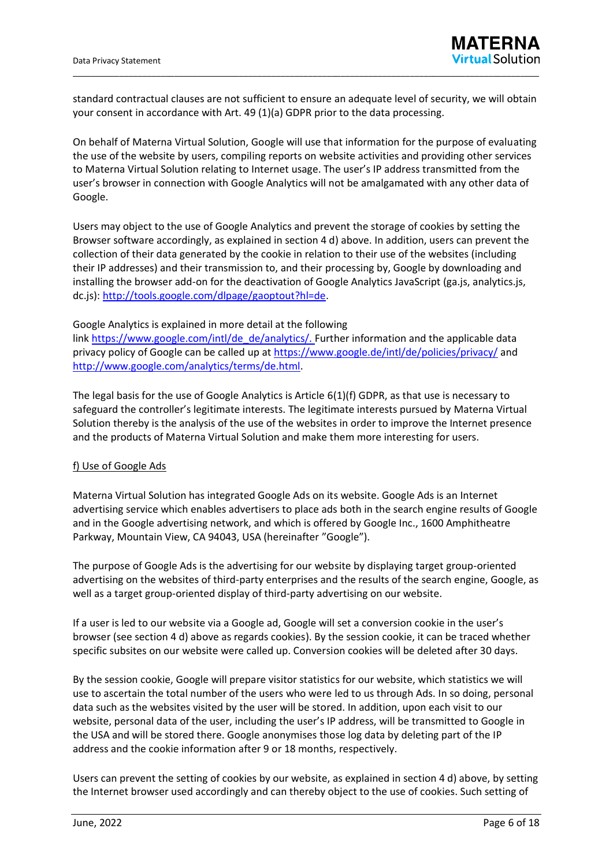standard contractual clauses are not sufficient to ensure an adequate level of security, we will obtain your consent in accordance with Art. 49 (1)(a) GDPR prior to the data processing.

\_\_\_\_\_\_\_\_\_\_\_\_\_\_\_\_\_\_\_\_\_\_\_\_\_\_\_\_\_\_\_\_\_\_\_\_\_\_\_\_\_\_\_\_\_\_\_\_\_\_\_\_\_\_\_\_\_\_\_\_\_\_\_\_\_\_\_\_\_\_\_\_\_\_\_\_\_\_\_\_\_\_\_\_\_\_\_\_\_\_\_\_\_\_\_\_\_\_\_\_\_

On behalf of Materna Virtual Solution, Google will use that information for the purpose of evaluating the use of the website by users, compiling reports on website activities and providing other services to Materna Virtual Solution relating to Internet usage. The user's IP address transmitted from the user's browser in connection with Google Analytics will not be amalgamated with any other data of Google.

Users may object to the use of Google Analytics and prevent the storage of cookies by setting the Browser software accordingly, as explained in section 4 d) above. In addition, users can prevent the collection of their data generated by the cookie in relation to their use of the websites (including their IP addresses) and their transmission to, and their processing by, Google by downloading and installing the browser add-on for the deactivation of Google Analytics JavaScript (ga.js, analytics.js, dc.js): [http://tools.google.com/dlpage/gaoptout?hl=de.](http://tools.google.com/dlpage/gaoptout?hl=de)

#### Google Analytics is explained in more detail at the following

link [https://www.google.com/intl/de\\_de/analytics/.](https://www.google.com/intl/de_de/analytics/) Further information and the applicable data privacy policy of Google can be called up at<https://www.google.de/intl/de/policies/privacy/> and [http://www.google.com/analytics/terms/de.html.](http://www.google.com/analytics/terms/de.html)

The legal basis for the use of Google Analytics is Article 6(1)(f) GDPR, as that use is necessary to safeguard the controller's legitimate interests. The legitimate interests pursued by Materna Virtual Solution thereby is the analysis of the use of the websites in order to improve the Internet presence and the products of Materna Virtual Solution and make them more interesting for users.

#### f) Use of Google Ads

Materna Virtual Solution has integrated Google Ads on its website. Google Ads is an Internet advertising service which enables advertisers to place ads both in the search engine results of Google and in the Google advertising network, and which is offered by Google Inc., 1600 Amphitheatre Parkway, Mountain View, CA 94043, USA (hereinafter "Google").

The purpose of Google Ads is the advertising for our website by displaying target group-oriented advertising on the websites of third-party enterprises and the results of the search engine, Google, as well as a target group-oriented display of third-party advertising on our website.

If a user is led to our website via a Google ad, Google will set a conversion cookie in the user's browser (see section 4 d) above as regards cookies). By the session cookie, it can be traced whether specific subsites on our website were called up. Conversion cookies will be deleted after 30 days.

By the session cookie, Google will prepare visitor statistics for our website, which statistics we will use to ascertain the total number of the users who were led to us through Ads. In so doing, personal data such as the websites visited by the user will be stored. In addition, upon each visit to our website, personal data of the user, including the user's IP address, will be transmitted to Google in the USA and will be stored there. Google anonymises those log data by deleting part of the IP address and the cookie information after 9 or 18 months, respectively.

Users can prevent the setting of cookies by our website, as explained in section 4 d) above, by setting the Internet browser used accordingly and can thereby object to the use of cookies. Such setting of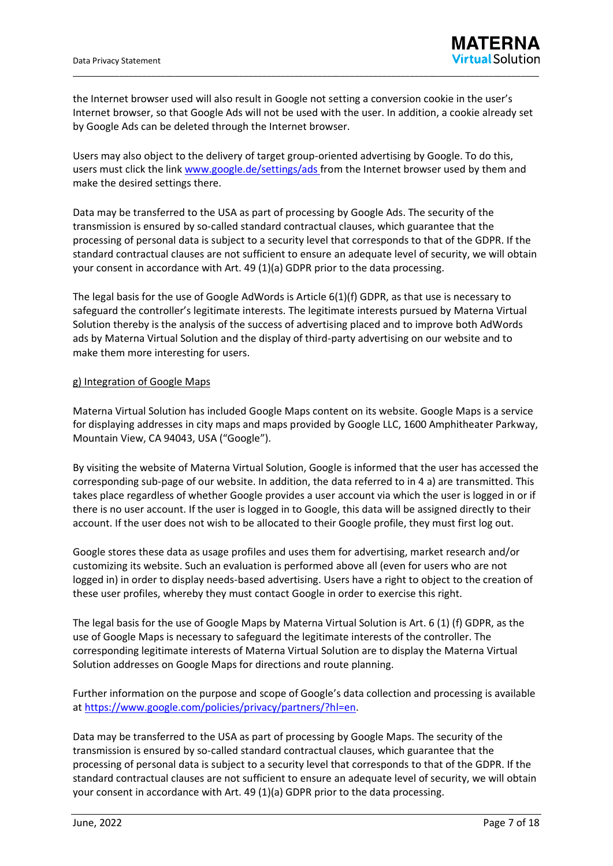the Internet browser used will also result in Google not setting a conversion cookie in the user's Internet browser, so that Google Ads will not be used with the user. In addition, a cookie already set by Google Ads can be deleted through the Internet browser.

\_\_\_\_\_\_\_\_\_\_\_\_\_\_\_\_\_\_\_\_\_\_\_\_\_\_\_\_\_\_\_\_\_\_\_\_\_\_\_\_\_\_\_\_\_\_\_\_\_\_\_\_\_\_\_\_\_\_\_\_\_\_\_\_\_\_\_\_\_\_\_\_\_\_\_\_\_\_\_\_\_\_\_\_\_\_\_\_\_\_\_\_\_\_\_\_\_\_\_\_\_

Users may also object to the delivery of target group-oriented advertising by Google. To do this, users must click the link [www.google.de/settings/ads](http://www.google.de/settings/ads) from the Internet browser used by them and make the desired settings there.

Data may be transferred to the USA as part of processing by Google Ads. The security of the transmission is ensured by so-called standard contractual clauses, which guarantee that the processing of personal data is subject to a security level that corresponds to that of the GDPR. If the standard contractual clauses are not sufficient to ensure an adequate level of security, we will obtain your consent in accordance with Art. 49 (1)(a) GDPR prior to the data processing.

The legal basis for the use of Google AdWords is Article 6(1)(f) GDPR, as that use is necessary to safeguard the controller's legitimate interests. The legitimate interests pursued by Materna Virtual Solution thereby is the analysis of the success of advertising placed and to improve both AdWords ads by Materna Virtual Solution and the display of third-party advertising on our website and to make them more interesting for users.

### g) Integration of Google Maps

Materna Virtual Solution has included Google Maps content on its website. Google Maps is a service for displaying addresses in city maps and maps provided by Google LLC, 1600 Amphitheater Parkway, Mountain View, CA 94043, USA ("Google").

By visiting the website of Materna Virtual Solution, Google is informed that the user has accessed the corresponding sub-page of our website. In addition, the data referred to in 4 a) are transmitted. This takes place regardless of whether Google provides a user account via which the user is logged in or if there is no user account. If the user is logged in to Google, this data will be assigned directly to their account. If the user does not wish to be allocated to their Google profile, they must first log out.

Google stores these data as usage profiles and uses them for advertising, market research and/or customizing its website. Such an evaluation is performed above all (even for users who are not logged in) in order to display needs-based advertising. Users have a right to object to the creation of these user profiles, whereby they must contact Google in order to exercise this right.

The legal basis for the use of Google Maps by Materna Virtual Solution is Art. 6 (1) (f) GDPR, as the use of Google Maps is necessary to safeguard the legitimate interests of the controller. The corresponding legitimate interests of Materna Virtual Solution are to display the Materna Virtual Solution addresses on Google Maps for directions and route planning.

Further information on the purpose and scope of Google's data collection and processing is available at [https://www.google.com/policies/privacy/partners/?hl=en.](https://www.google.com/policies/privacy/partners/?hl=de)

Data may be transferred to the USA as part of processing by Google Maps. The security of the transmission is ensured by so-called standard contractual clauses, which guarantee that the processing of personal data is subject to a security level that corresponds to that of the GDPR. If the standard contractual clauses are not sufficient to ensure an adequate level of security, we will obtain your consent in accordance with Art. 49 (1)(a) GDPR prior to the data processing.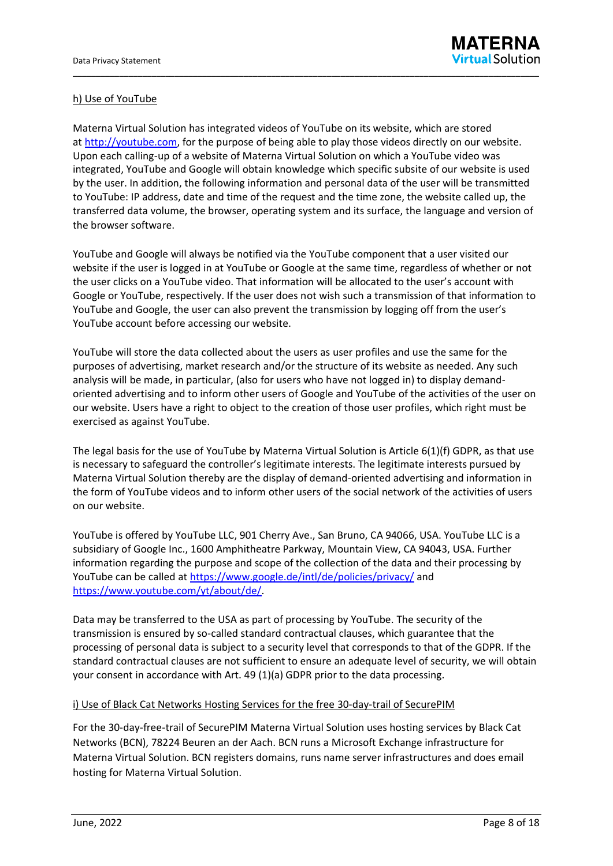## h) Use of YouTube

Materna Virtual Solution has integrated videos of YouTube on its website, which are stored at [http://youtube.com,](http://youtube.com/) for the purpose of being able to play those videos directly on our website. Upon each calling-up of a website of Materna Virtual Solution on which a YouTube video was integrated, YouTube and Google will obtain knowledge which specific subsite of our website is used by the user. In addition, the following information and personal data of the user will be transmitted to YouTube: IP address, date and time of the request and the time zone, the website called up, the transferred data volume, the browser, operating system and its surface, the language and version of the browser software.

\_\_\_\_\_\_\_\_\_\_\_\_\_\_\_\_\_\_\_\_\_\_\_\_\_\_\_\_\_\_\_\_\_\_\_\_\_\_\_\_\_\_\_\_\_\_\_\_\_\_\_\_\_\_\_\_\_\_\_\_\_\_\_\_\_\_\_\_\_\_\_\_\_\_\_\_\_\_\_\_\_\_\_\_\_\_\_\_\_\_\_\_\_\_\_\_\_\_\_\_\_

YouTube and Google will always be notified via the YouTube component that a user visited our website if the user is logged in at YouTube or Google at the same time, regardless of whether or not the user clicks on a YouTube video. That information will be allocated to the user's account with Google or YouTube, respectively. If the user does not wish such a transmission of that information to YouTube and Google, the user can also prevent the transmission by logging off from the user's YouTube account before accessing our website.

YouTube will store the data collected about the users as user profiles and use the same for the purposes of advertising, market research and/or the structure of its website as needed. Any such analysis will be made, in particular, (also for users who have not logged in) to display demandoriented advertising and to inform other users of Google and YouTube of the activities of the user on our website. Users have a right to object to the creation of those user profiles, which right must be exercised as against YouTube.

The legal basis for the use of YouTube by Materna Virtual Solution is Article 6(1)(f) GDPR, as that use is necessary to safeguard the controller's legitimate interests. The legitimate interests pursued by Materna Virtual Solution thereby are the display of demand-oriented advertising and information in the form of YouTube videos and to inform other users of the social network of the activities of users on our website.

YouTube is offered by YouTube LLC, 901 Cherry Ave., San Bruno, CA 94066, USA. YouTube LLC is a subsidiary of Google Inc., 1600 Amphitheatre Parkway, Mountain View, CA 94043, USA. Further information regarding the purpose and scope of the collection of the data and their processing by YouTube can be called at <https://www.google.de/intl/de/policies/privacy/> and [https://www.youtube.com/yt/about/de/.](https://www.youtube.com/yt/about/de/)

Data may be transferred to the USA as part of processing by YouTube. The security of the transmission is ensured by so-called standard contractual clauses, which guarantee that the processing of personal data is subject to a security level that corresponds to that of the GDPR. If the standard contractual clauses are not sufficient to ensure an adequate level of security, we will obtain your consent in accordance with Art. 49 (1)(a) GDPR prior to the data processing.

#### i) Use of Black Cat Networks Hosting Services for the free 30-day-trail of SecurePIM

For the 30-day-free-trail of SecurePIM Materna Virtual Solution uses hosting services by Black Cat Networks (BCN), 78224 Beuren an der Aach. BCN runs a Microsoft Exchange infrastructure for Materna Virtual Solution. BCN registers domains, runs name server infrastructures and does email hosting for Materna Virtual Solution.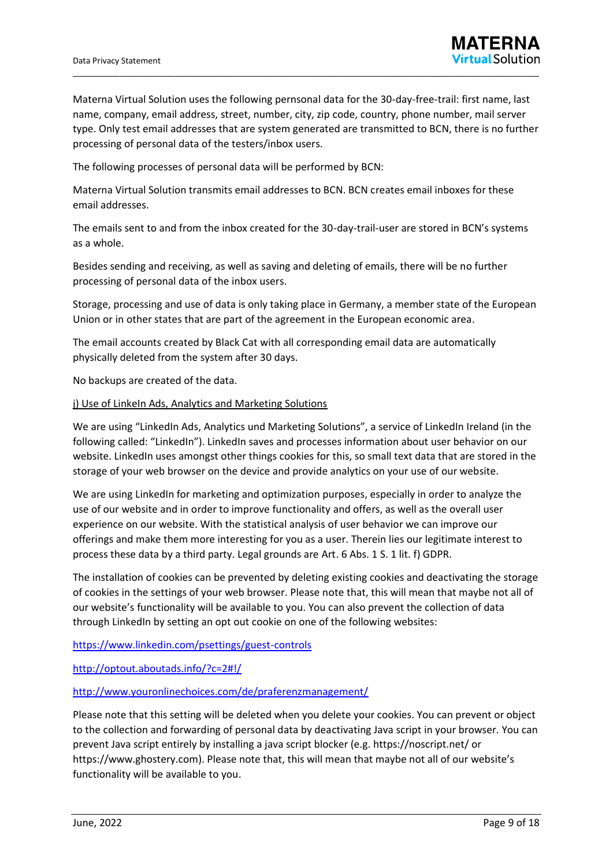Materna Virtual Solution uses the following pernsonal data for the 30-day-free-trail: first name, last name, company, email address, street, number, city, zip code, country, phone number, mail server type. Only test email addresses that are system generated are transmitted to BCN, there is no further processing of personal data of the testers/inbox users.

\_\_\_\_\_\_\_\_\_\_\_\_\_\_\_\_\_\_\_\_\_\_\_\_\_\_\_\_\_\_\_\_\_\_\_\_\_\_\_\_\_\_\_\_\_\_\_\_\_\_\_\_\_\_\_\_\_\_\_\_\_\_\_\_\_\_\_\_\_\_\_\_\_\_\_\_\_\_\_\_\_\_\_\_\_\_\_\_\_\_\_\_\_\_\_\_\_\_\_\_\_

The following processes of personal data will be performed by BCN:

Materna Virtual Solution transmits email addresses to BCN. BCN creates email inboxes for these email addresses.

The emails sent to and from the inbox created for the 30-day-trail-user are stored in BCN's systems as a whole.

Besides sending and receiving, as well as saving and deleting of emails, there will be no further processing of personal data of the inbox users.

Storage, processing and use of data is only taking place in Germany, a member state of the European Union or in other states that are part of the agreement in the European economic area.

The email accounts created by Black Cat with all corresponding email data are automatically physically deleted from the system after 30 days.

No backups are created of the data.

#### j) Use of LinkeIn Ads, Analytics and Marketing Solutions

We are using "LinkedIn Ads, Analytics und Marketing Solutions", a service of LinkedIn Ireland (in the following called: "LinkedIn"). LinkedIn saves and processes information about user behavior on our website. LinkedIn uses amongst other things cookies for this, so small text data that are stored in the storage of your web browser on the device and provide analytics on your use of our website.

We are using LinkedIn for marketing and optimization purposes, especially in order to analyze the use of our website and in order to improve functionality and offers, as well as the overall user experience on our website. With the statistical analysis of user behavior we can improve our offerings and make them more interesting for you as a user. Therein lies our legitimate interest to process these data by a third party. Legal grounds are Art. 6 Abs. 1 S. 1 lit. f) GDPR.

The installation of cookies can be prevented by deleting existing cookies and deactivating the storage of cookies in the settings of your web browser. Please note that, this will mean that maybe not all of our website's functionality will be available to you. You can also prevent the collection of data through LinkedIn by setting an opt out cookie on one of the following websites:

<https://www.linkedin.com/psettings/guest-controls>

<http://optout.aboutads.info/?c=2#!/>

<http://www.youronlinechoices.com/de/praferenzmanagement/>

Please note that this setting will be deleted when you delete your cookies. You can prevent or object to the collection and forwarding of personal data by deactivating Java script in your browser. You can prevent Java script entirely by installing a java script blocker (e.g. https://noscript.net/ or https://www.ghostery.com). Please note that, this will mean that maybe not all of our website's functionality will be available to you.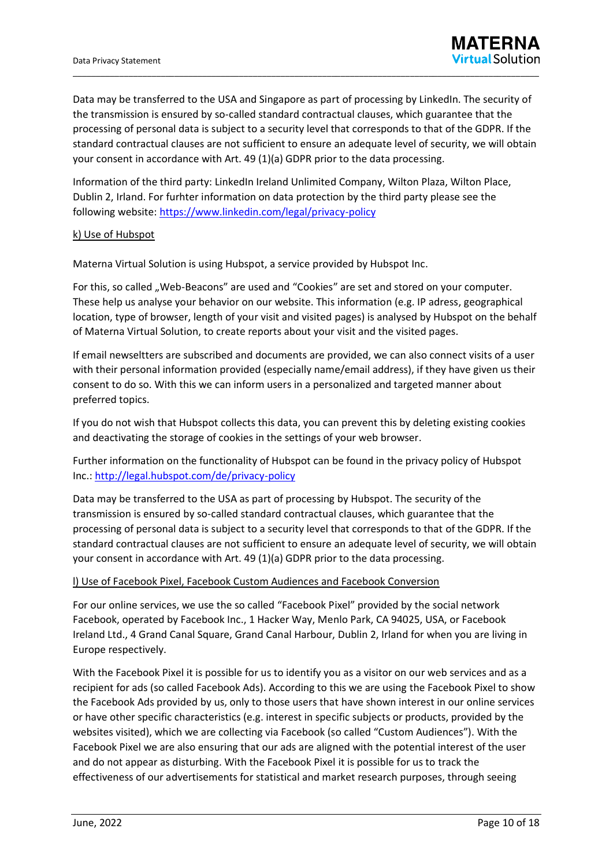Data may be transferred to the USA and Singapore as part of processing by LinkedIn. The security of the transmission is ensured by so-called standard contractual clauses, which guarantee that the processing of personal data is subject to a security level that corresponds to that of the GDPR. If the standard contractual clauses are not sufficient to ensure an adequate level of security, we will obtain your consent in accordance with Art. 49 (1)(a) GDPR prior to the data processing.

\_\_\_\_\_\_\_\_\_\_\_\_\_\_\_\_\_\_\_\_\_\_\_\_\_\_\_\_\_\_\_\_\_\_\_\_\_\_\_\_\_\_\_\_\_\_\_\_\_\_\_\_\_\_\_\_\_\_\_\_\_\_\_\_\_\_\_\_\_\_\_\_\_\_\_\_\_\_\_\_\_\_\_\_\_\_\_\_\_\_\_\_\_\_\_\_\_\_\_\_\_

Information of the third party: LinkedIn Ireland Unlimited Company, Wilton Plaza, Wilton Place, Dublin 2, Irland. For furhter information on data protection by the third party please see the following website: <https://www.linkedin.com/legal/privacy-policy>

### k) Use of Hubspot

Materna Virtual Solution is using Hubspot, a service provided by Hubspot Inc.

For this, so called "Web-Beacons" are used and "Cookies" are set and stored on your computer. These help us analyse your behavior on our website. This information (e.g. IP adress, geographical location, type of browser, length of your visit and visited pages) is analysed by Hubspot on the behalf of Materna Virtual Solution, to create reports about your visit and the visited pages.

If email newseltters are subscribed and documents are provided, we can also connect visits of a user with their personal information provided (especially name/email address), if they have given us their consent to do so. With this we can inform users in a personalized and targeted manner about preferred topics.

If you do not wish that Hubspot collects this data, you can prevent this by deleting existing cookies and deactivating the storage of cookies in the settings of your web browser.

Further information on the functionality of Hubspot can be found in the privacy policy of Hubspot Inc.: <http://legal.hubspot.com/de/privacy-policy>

Data may be transferred to the USA as part of processing by Hubspot. The security of the transmission is ensured by so-called standard contractual clauses, which guarantee that the processing of personal data is subject to a security level that corresponds to that of the GDPR. If the standard contractual clauses are not sufficient to ensure an adequate level of security, we will obtain your consent in accordance with Art. 49 (1)(a) GDPR prior to the data processing.

#### l) Use of Facebook Pixel, Facebook Custom Audiences and Facebook Conversion

For our online services, we use the so called "Facebook Pixel" provided by the social network Facebook, operated by Facebook Inc., 1 Hacker Way, Menlo Park, CA 94025, USA, or Facebook Ireland Ltd., 4 Grand Canal Square, Grand Canal Harbour, Dublin 2, Irland for when you are living in Europe respectively.

With the Facebook Pixel it is possible for us to identify you as a visitor on our web services and as a recipient for ads (so called Facebook Ads). According to this we are using the Facebook Pixel to show the Facebook Ads provided by us, only to those users that have shown interest in our online services or have other specific characteristics (e.g. interest in specific subjects or products, provided by the websites visited), which we are collecting via Facebook (so called "Custom Audiences"). With the Facebook Pixel we are also ensuring that our ads are aligned with the potential interest of the user and do not appear as disturbing. With the Facebook Pixel it is possible for us to track the effectiveness of our advertisements for statistical and market research purposes, through seeing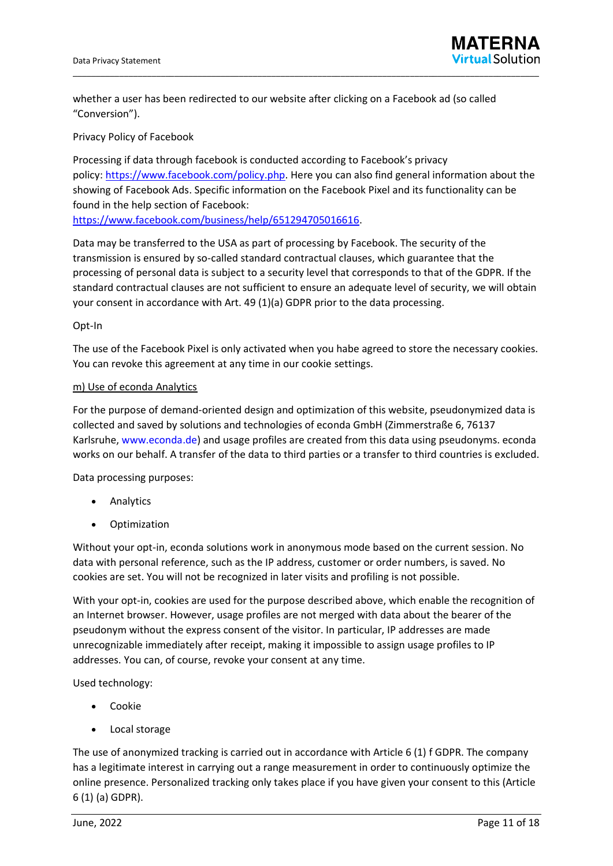

whether a user has been redirected to our website after clicking on a Facebook ad (so called "Conversion").

Privacy Policy of Facebook

Processing if data through facebook is conducted according to Facebook's privacy policy: [https://www.facebook.com/policy.php.](https://www.facebook.com/policy.php) Here you can also find general information about the showing of Facebook Ads. Specific information on the Facebook Pixel and its functionality can be found in the help section of Facebook:

[https://www.facebook.com/business/help/651294705016616.](https://www.facebook.com/business/help/651294705016616)

Data may be transferred to the USA as part of processing by Facebook. The security of the transmission is ensured by so-called standard contractual clauses, which guarantee that the processing of personal data is subject to a security level that corresponds to that of the GDPR. If the standard contractual clauses are not sufficient to ensure an adequate level of security, we will obtain your consent in accordance with Art. 49 (1)(a) GDPR prior to the data processing.

#### Opt-In

The use of the Facebook Pixel is only activated when you habe agreed to store the necessary cookies. You can revoke this agreement at any time in our cookie settings.

#### m) Use of econda Analytics

For the purpose of demand-oriented design and optimization of this website, pseudonymized data is collected and saved by solutions and technologies of econda GmbH (Zimmerstraße 6, 76137 Karlsruhe, [www.econda.de\)](http://www.econda.de/) and usage profiles are created from this data using pseudonyms. econda works on our behalf. A transfer of the data to third parties or a transfer to third countries is excluded.

Data processing purposes:

- **Analytics**
- **Optimization**

Without your opt-in, econda solutions work in anonymous mode based on the current session. No data with personal reference, such as the IP address, customer or order numbers, is saved. No cookies are set. You will not be recognized in later visits and profiling is not possible.

With your opt-in, cookies are used for the purpose described above, which enable the recognition of an Internet browser. However, usage profiles are not merged with data about the bearer of the pseudonym without the express consent of the visitor. In particular, IP addresses are made unrecognizable immediately after receipt, making it impossible to assign usage profiles to IP addresses. You can, of course, revoke your consent at any time.

Used technology:

- Cookie
- Local storage

The use of anonymized tracking is carried out in accordance with Article 6 (1) f GDPR. The company has a legitimate interest in carrying out a range measurement in order to continuously optimize the online presence. Personalized tracking only takes place if you have given your consent to this (Article 6 (1) (a) GDPR).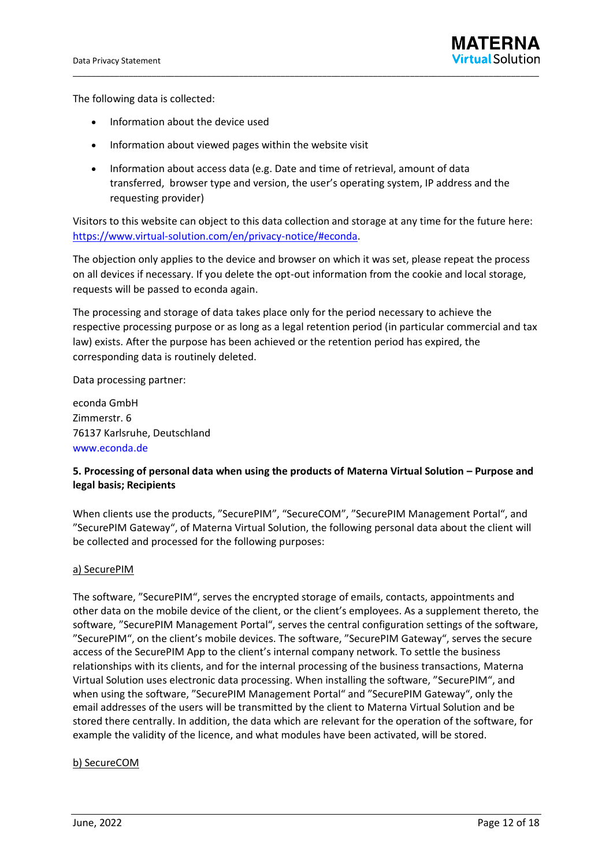The following data is collected:

- Information about the device used
- Information about viewed pages within the website visit
- Information about access data (e.g. Date and time of retrieval, amount of data transferred, browser type and version, the user's operating system, IP address and the requesting provider)

\_\_\_\_\_\_\_\_\_\_\_\_\_\_\_\_\_\_\_\_\_\_\_\_\_\_\_\_\_\_\_\_\_\_\_\_\_\_\_\_\_\_\_\_\_\_\_\_\_\_\_\_\_\_\_\_\_\_\_\_\_\_\_\_\_\_\_\_\_\_\_\_\_\_\_\_\_\_\_\_\_\_\_\_\_\_\_\_\_\_\_\_\_\_\_\_\_\_\_\_\_

Visitors to this website can object to this data collection and storage at any time for the future here: https://www.virtual-solution.com/en/privacy-notice/#econda.

The objection only applies to the device and browser on which it was set, please repeat the process on all devices if necessary. If you delete the opt-out information from the cookie and local storage, requests will be passed to econda again.

The processing and storage of data takes place only for the period necessary to achieve the respective processing purpose or as long as a legal retention period (in particular commercial and tax law) exists. After the purpose has been achieved or the retention period has expired, the corresponding data is routinely deleted.

Data processing partner:

econda GmbH Zimmerstr. 6 76137 Karlsruhe, Deutschland [www.econda.de](https://www.econda.de/)

# **5. Processing of personal data when using the products of Materna Virtual Solution – Purpose and legal basis; Recipients**

When clients use the products, "SecurePIM", "SecureCOM", "SecurePIM Management Portal", and "SecurePIM Gateway", of Materna Virtual Solution, the following personal data about the client will be collected and processed for the following purposes:

#### a) SecurePIM

The software, "SecurePIM", serves the encrypted storage of emails, contacts, appointments and other data on the mobile device of the client, or the client's employees. As a supplement thereto, the software, "SecurePIM Management Portal", serves the central configuration settings of the software, "SecurePIM", on the client's mobile devices. The software, "SecurePIM Gateway", serves the secure access of the SecurePIM App to the client's internal company network. To settle the business relationships with its clients, and for the internal processing of the business transactions, Materna Virtual Solution uses electronic data processing. When installing the software, "SecurePIM", and when using the software, "SecurePIM Management Portal" and "SecurePIM Gateway", only the email addresses of the users will be transmitted by the client to Materna Virtual Solution and be stored there centrally. In addition, the data which are relevant for the operation of the software, for example the validity of the licence, and what modules have been activated, will be stored.

#### b) SecureCOM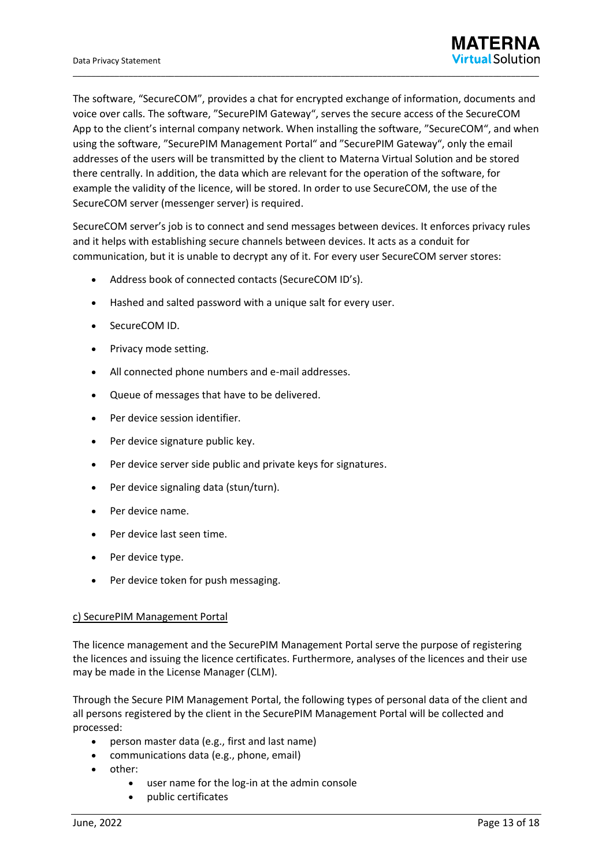The software, "SecureCOM", provides a chat for encrypted exchange of information, documents and voice over calls. The software, "SecurePIM Gateway", serves the secure access of the SecureCOM App to the client's internal company network. When installing the software, "SecureCOM", and when using the software, "SecurePIM Management Portal" and "SecurePIM Gateway", only the email addresses of the users will be transmitted by the client to Materna Virtual Solution and be stored there centrally. In addition, the data which are relevant for the operation of the software, for example the validity of the licence, will be stored. In order to use SecureCOM, the use of the SecureCOM server (messenger server) is required.

\_\_\_\_\_\_\_\_\_\_\_\_\_\_\_\_\_\_\_\_\_\_\_\_\_\_\_\_\_\_\_\_\_\_\_\_\_\_\_\_\_\_\_\_\_\_\_\_\_\_\_\_\_\_\_\_\_\_\_\_\_\_\_\_\_\_\_\_\_\_\_\_\_\_\_\_\_\_\_\_\_\_\_\_\_\_\_\_\_\_\_\_\_\_\_\_\_\_\_\_\_

SecureCOM server's job is to connect and send messages between devices. It enforces privacy rules and it helps with establishing secure channels between devices. It acts as a conduit for communication, but it is unable to decrypt any of it. For every user SecureCOM server stores:

- Address book of connected contacts (SecureCOM ID's).
- Hashed and salted password with a unique salt for every user.
- SecureCOM ID.
- Privacy mode setting.
- All connected phone numbers and e-mail addresses.
- Queue of messages that have to be delivered.
- Per device session identifier.
- Per device signature public key.
- Per device server side public and private keys for signatures.
- Per device signaling data (stun/turn).
- Per device name.
- Per device last seen time.
- Per device type.
- Per device token for push messaging.

#### c) SecurePIM Management Portal

The licence management and the SecurePIM Management Portal serve the purpose of registering the licences and issuing the licence certificates. Furthermore, analyses of the licences and their use may be made in the License Manager (CLM).

Through the Secure PIM Management Portal, the following types of personal data of the client and all persons registered by the client in the SecurePIM Management Portal will be collected and processed:

- person master data (e.g., first and last name)
- communications data (e.g., phone, email)
- other:
	- user name for the log-in at the admin console
	- public certificates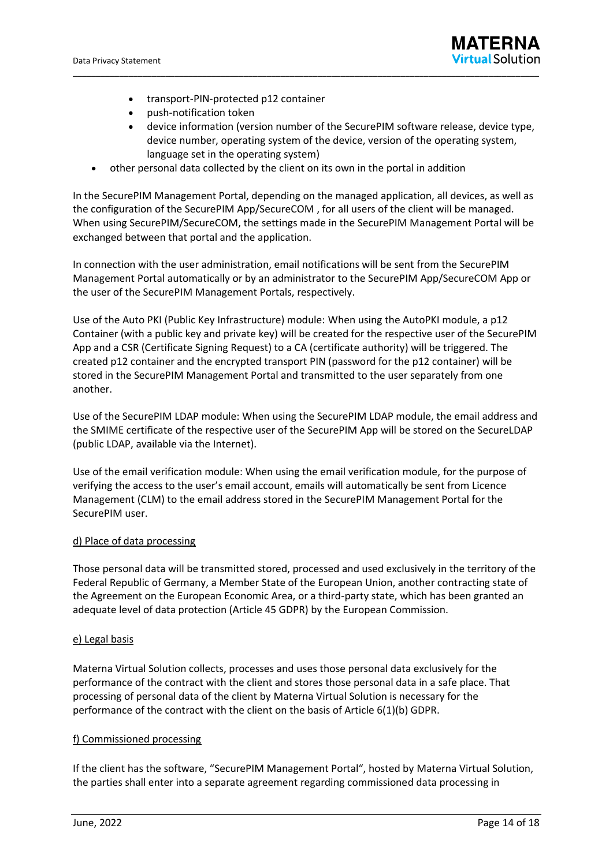- transport-PIN-protected p12 container
- push-notification token
- device information (version number of the SecurePIM software release, device type, device number, operating system of the device, version of the operating system, language set in the operating system)
- other personal data collected by the client on its own in the portal in addition

In the SecurePIM Management Portal, depending on the managed application, all devices, as well as the configuration of the SecurePIM App/SecureCOM , for all users of the client will be managed. When using SecurePIM/SecureCOM, the settings made in the SecurePIM Management Portal will be exchanged between that portal and the application.

\_\_\_\_\_\_\_\_\_\_\_\_\_\_\_\_\_\_\_\_\_\_\_\_\_\_\_\_\_\_\_\_\_\_\_\_\_\_\_\_\_\_\_\_\_\_\_\_\_\_\_\_\_\_\_\_\_\_\_\_\_\_\_\_\_\_\_\_\_\_\_\_\_\_\_\_\_\_\_\_\_\_\_\_\_\_\_\_\_\_\_\_\_\_\_\_\_\_\_\_\_

In connection with the user administration, email notifications will be sent from the SecurePIM Management Portal automatically or by an administrator to the SecurePIM App/SecureCOM App or the user of the SecurePIM Management Portals, respectively.

Use of the Auto PKI (Public Key Infrastructure) module: When using the AutoPKI module, a p12 Container (with a public key and private key) will be created for the respective user of the SecurePIM App and a CSR (Certificate Signing Request) to a CA (certificate authority) will be triggered. The created p12 container and the encrypted transport PIN (password for the p12 container) will be stored in the SecurePIM Management Portal and transmitted to the user separately from one another.

Use of the SecurePIM LDAP module: When using the SecurePIM LDAP module, the email address and the SMIME certificate of the respective user of the SecurePIM App will be stored on the SecureLDAP (public LDAP, available via the Internet).

Use of the email verification module: When using the email verification module, for the purpose of verifying the access to the user's email account, emails will automatically be sent from Licence Management (CLM) to the email address stored in the SecurePIM Management Portal for the SecurePIM user.

#### d) Place of data processing

Those personal data will be transmitted stored, processed and used exclusively in the territory of the Federal Republic of Germany, a Member State of the European Union, another contracting state of the Agreement on the European Economic Area, or a third-party state, which has been granted an adequate level of data protection (Article 45 GDPR) by the European Commission.

#### e) Legal basis

Materna Virtual Solution collects, processes and uses those personal data exclusively for the performance of the contract with the client and stores those personal data in a safe place. That processing of personal data of the client by Materna Virtual Solution is necessary for the performance of the contract with the client on the basis of Article 6(1)(b) GDPR.

#### f) Commissioned processing

If the client has the software, "SecurePIM Management Portal", hosted by Materna Virtual Solution, the parties shall enter into a separate agreement regarding commissioned data processing in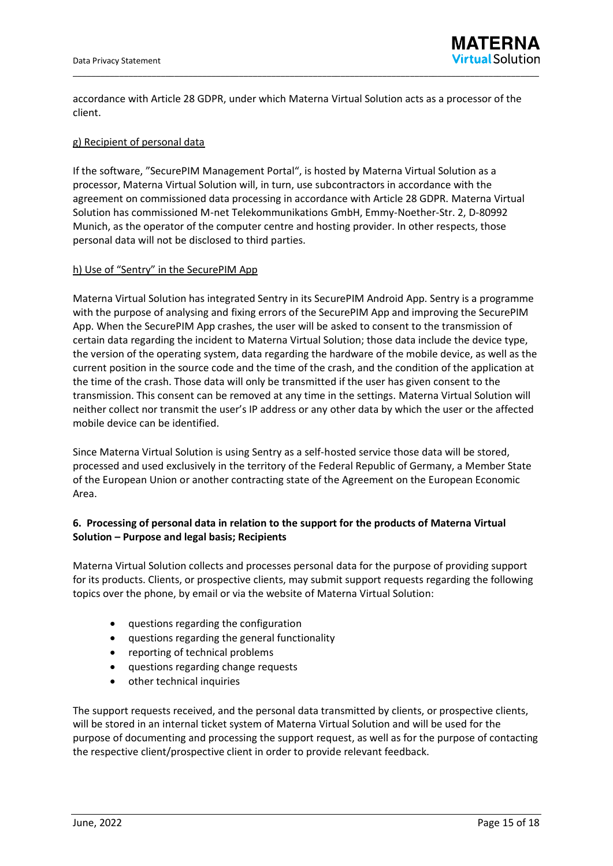

accordance with Article 28 GDPR, under which Materna Virtual Solution acts as a processor of the client.

#### g) Recipient of personal data

If the software, "SecurePIM Management Portal", is hosted by Materna Virtual Solution as a processor, Materna Virtual Solution will, in turn, use subcontractors in accordance with the agreement on commissioned data processing in accordance with Article 28 GDPR. Materna Virtual Solution has commissioned M-net Telekommunikations GmbH, Emmy-Noether-Str. 2, D-80992 Munich, as the operator of the computer centre and hosting provider. In other respects, those personal data will not be disclosed to third parties.

#### h) Use of "Sentry" in the SecurePIM App

Materna Virtual Solution has integrated Sentry in its SecurePIM Android App. Sentry is a programme with the purpose of analysing and fixing errors of the SecurePIM App and improving the SecurePIM App. When the SecurePIM App crashes, the user will be asked to consent to the transmission of certain data regarding the incident to Materna Virtual Solution; those data include the device type, the version of the operating system, data regarding the hardware of the mobile device, as well as the current position in the source code and the time of the crash, and the condition of the application at the time of the crash. Those data will only be transmitted if the user has given consent to the transmission. This consent can be removed at any time in the settings. Materna Virtual Solution will neither collect nor transmit the user's IP address or any other data by which the user or the affected mobile device can be identified.

Since Materna Virtual Solution is using Sentry as a self-hosted service those data will be stored, processed and used exclusively in the territory of the Federal Republic of Germany, a Member State of the European Union or another contracting state of the Agreement on the European Economic Area.

### **6. Processing of personal data in relation to the support for the products of Materna Virtual Solution – Purpose and legal basis; Recipients**

Materna Virtual Solution collects and processes personal data for the purpose of providing support for its products. Clients, or prospective clients, may submit support requests regarding the following topics over the phone, by email or via the website of Materna Virtual Solution:

- questions regarding the configuration
- questions regarding the general functionality
- reporting of technical problems
- questions regarding change requests
- other technical inquiries

The support requests received, and the personal data transmitted by clients, or prospective clients, will be stored in an internal ticket system of Materna Virtual Solution and will be used for the purpose of documenting and processing the support request, as well as for the purpose of contacting the respective client/prospective client in order to provide relevant feedback.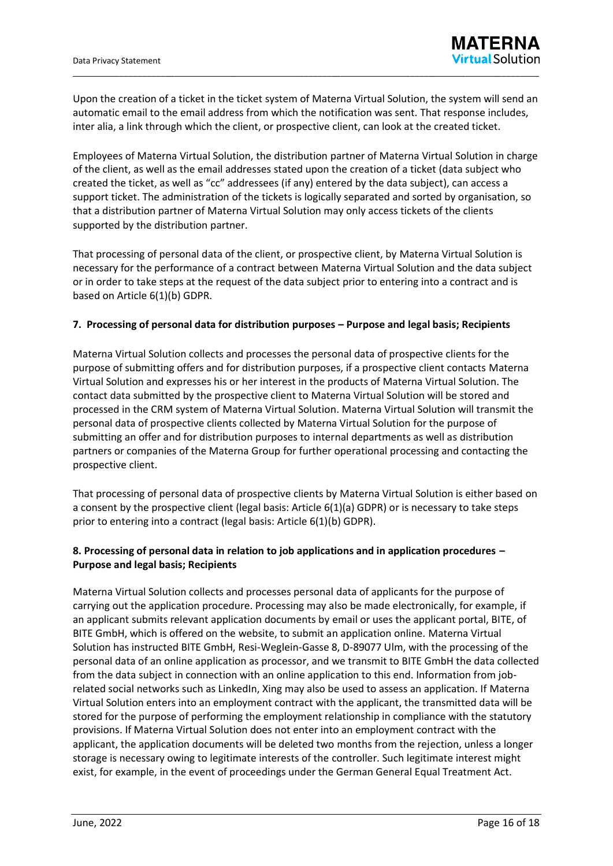Upon the creation of a ticket in the ticket system of Materna Virtual Solution, the system will send an automatic email to the email address from which the notification was sent. That response includes, inter alia, a link through which the client, or prospective client, can look at the created ticket.

\_\_\_\_\_\_\_\_\_\_\_\_\_\_\_\_\_\_\_\_\_\_\_\_\_\_\_\_\_\_\_\_\_\_\_\_\_\_\_\_\_\_\_\_\_\_\_\_\_\_\_\_\_\_\_\_\_\_\_\_\_\_\_\_\_\_\_\_\_\_\_\_\_\_\_\_\_\_\_\_\_\_\_\_\_\_\_\_\_\_\_\_\_\_\_\_\_\_\_\_\_

Employees of Materna Virtual Solution, the distribution partner of Materna Virtual Solution in charge of the client, as well as the email addresses stated upon the creation of a ticket (data subject who created the ticket, as well as "cc" addressees (if any) entered by the data subject), can access a support ticket. The administration of the tickets is logically separated and sorted by organisation, so that a distribution partner of Materna Virtual Solution may only access tickets of the clients supported by the distribution partner.

That processing of personal data of the client, or prospective client, by Materna Virtual Solution is necessary for the performance of a contract between Materna Virtual Solution and the data subject or in order to take steps at the request of the data subject prior to entering into a contract and is based on Article 6(1)(b) GDPR.

#### **7. Processing of personal data for distribution purposes – Purpose and legal basis; Recipients**

Materna Virtual Solution collects and processes the personal data of prospective clients for the purpose of submitting offers and for distribution purposes, if a prospective client contacts Materna Virtual Solution and expresses his or her interest in the products of Materna Virtual Solution. The contact data submitted by the prospective client to Materna Virtual Solution will be stored and processed in the CRM system of Materna Virtual Solution. Materna Virtual Solution will transmit the personal data of prospective clients collected by Materna Virtual Solution for the purpose of submitting an offer and for distribution purposes to internal departments as well as distribution partners or companies of the Materna Group for further operational processing and contacting the prospective client.

That processing of personal data of prospective clients by Materna Virtual Solution is either based on a consent by the prospective client (legal basis: Article 6(1)(a) GDPR) or is necessary to take steps prior to entering into a contract (legal basis: Article 6(1)(b) GDPR).

# **8. Processing of personal data in relation to job applications and in application procedures – Purpose and legal basis; Recipients**

Materna Virtual Solution collects and processes personal data of applicants for the purpose of carrying out the application procedure. Processing may also be made electronically, for example, if an applicant submits relevant application documents by email or uses the applicant portal, BITE, of BITE GmbH, which is offered on the website, to submit an application online. Materna Virtual Solution has instructed BITE GmbH, Resi-Weglein-Gasse 8, D-89077 Ulm, with the processing of the personal data of an online application as processor, and we transmit to BITE GmbH the data collected from the data subject in connection with an online application to this end. Information from jobrelated social networks such as LinkedIn, Xing may also be used to assess an application. If Materna Virtual Solution enters into an employment contract with the applicant, the transmitted data will be stored for the purpose of performing the employment relationship in compliance with the statutory provisions. If Materna Virtual Solution does not enter into an employment contract with the applicant, the application documents will be deleted two months from the rejection, unless a longer storage is necessary owing to legitimate interests of the controller. Such legitimate interest might exist, for example, in the event of proceedings under the German General Equal Treatment Act.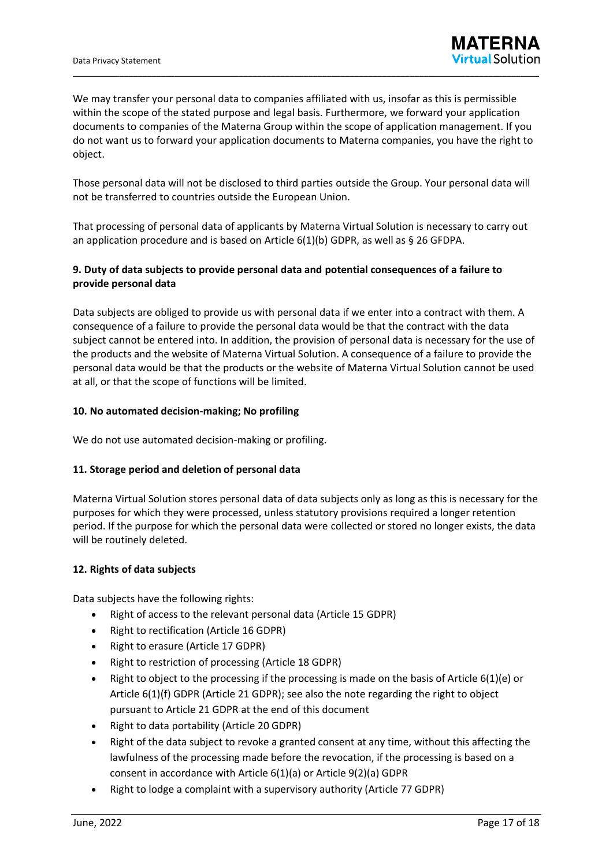We may transfer your personal data to companies affiliated with us, insofar as this is permissible within the scope of the stated purpose and legal basis. Furthermore, we forward your application documents to companies of the Materna Group within the scope of application management. If you do not want us to forward your application documents to Materna companies, you have the right to object.

\_\_\_\_\_\_\_\_\_\_\_\_\_\_\_\_\_\_\_\_\_\_\_\_\_\_\_\_\_\_\_\_\_\_\_\_\_\_\_\_\_\_\_\_\_\_\_\_\_\_\_\_\_\_\_\_\_\_\_\_\_\_\_\_\_\_\_\_\_\_\_\_\_\_\_\_\_\_\_\_\_\_\_\_\_\_\_\_\_\_\_\_\_\_\_\_\_\_\_\_\_

Those personal data will not be disclosed to third parties outside the Group. Your personal data will not be transferred to countries outside the European Union.

That processing of personal data of applicants by Materna Virtual Solution is necessary to carry out an application procedure and is based on Article 6(1)(b) GDPR, as well as § 26 GFDPA.

# **9. Duty of data subjects to provide personal data and potential consequences of a failure to provide personal data**

Data subjects are obliged to provide us with personal data if we enter into a contract with them. A consequence of a failure to provide the personal data would be that the contract with the data subject cannot be entered into. In addition, the provision of personal data is necessary for the use of the products and the website of Materna Virtual Solution. A consequence of a failure to provide the personal data would be that the products or the website of Materna Virtual Solution cannot be used at all, or that the scope of functions will be limited.

### **10. No automated decision-making; No profiling**

We do not use automated decision-making or profiling.

#### **11. Storage period and deletion of personal data**

Materna Virtual Solution stores personal data of data subjects only as long as this is necessary for the purposes for which they were processed, unless statutory provisions required a longer retention period. If the purpose for which the personal data were collected or stored no longer exists, the data will be routinely deleted.

#### **12. Rights of data subjects**

Data subjects have the following rights:

- Right of access to the relevant personal data (Article 15 GDPR)
- Right to rectification (Article 16 GDPR)
- Right to erasure (Article 17 GDPR)
- Right to restriction of processing (Article 18 GDPR)
- Right to object to the processing if the processing is made on the basis of Article 6(1)(e) or Article 6(1)(f) GDPR (Article 21 GDPR); see also the note regarding the right to object pursuant to Article 21 GDPR at the end of this document
- Right to data portability (Article 20 GDPR)
- Right of the data subject to revoke a granted consent at any time, without this affecting the lawfulness of the processing made before the revocation, if the processing is based on a consent in accordance with Article 6(1)(a) or Article 9(2)(a) GDPR
- Right to lodge a complaint with a supervisory authority (Article 77 GDPR)